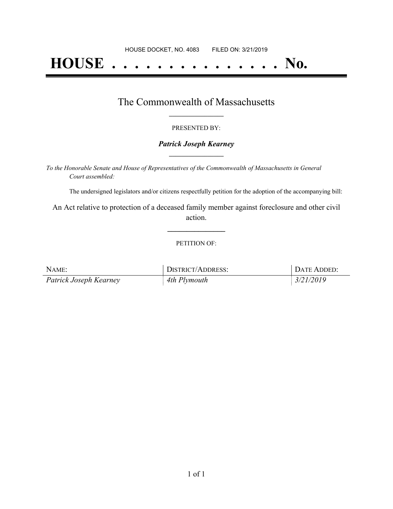# **HOUSE . . . . . . . . . . . . . . . No.**

### The Commonwealth of Massachusetts **\_\_\_\_\_\_\_\_\_\_\_\_\_\_\_\_\_**

#### PRESENTED BY:

#### *Patrick Joseph Kearney* **\_\_\_\_\_\_\_\_\_\_\_\_\_\_\_\_\_**

*To the Honorable Senate and House of Representatives of the Commonwealth of Massachusetts in General Court assembled:*

The undersigned legislators and/or citizens respectfully petition for the adoption of the accompanying bill:

An Act relative to protection of a deceased family member against foreclosure and other civil action.

**\_\_\_\_\_\_\_\_\_\_\_\_\_\_\_**

#### PETITION OF:

| NAME:                  | <b>DISTRICT/ADDRESS:</b> | <sup>1</sup> DATE ADDED: |
|------------------------|--------------------------|--------------------------|
| Patrick Joseph Kearney | 4th Plymouth             | 3/21/2019                |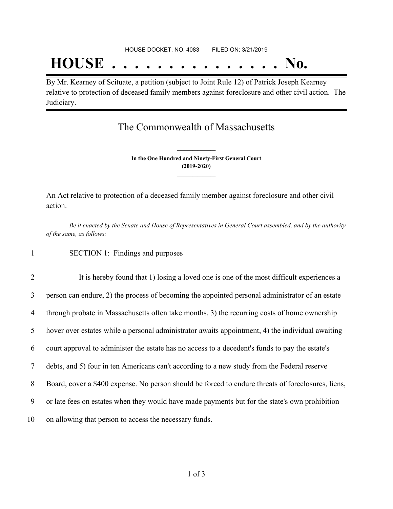## **HOUSE . . . . . . . . . . . . . . . No.**

By Mr. Kearney of Scituate, a petition (subject to Joint Rule 12) of Patrick Joseph Kearney relative to protection of deceased family members against foreclosure and other civil action. The Judiciary.

## The Commonwealth of Massachusetts

**In the One Hundred and Ninety-First General Court (2019-2020) \_\_\_\_\_\_\_\_\_\_\_\_\_\_\_**

**\_\_\_\_\_\_\_\_\_\_\_\_\_\_\_**

An Act relative to protection of a deceased family member against foreclosure and other civil action.

Be it enacted by the Senate and House of Representatives in General Court assembled, and by the authority *of the same, as follows:*

1 SECTION 1: Findings and purposes

2 It is hereby found that 1) losing a loved one is one of the most difficult experiences a person can endure, 2) the process of becoming the appointed personal administrator of an estate through probate in Massachusetts often take months, 3) the recurring costs of home ownership hover over estates while a personal administrator awaits appointment, 4) the individual awaiting court approval to administer the estate has no access to a decedent's funds to pay the estate's debts, and 5) four in ten Americans can't according to a new study from the Federal reserve 8 Board, cover a \$400 expense. No person should be forced to endure threats of foreclosures, liens, or late fees on estates when they would have made payments but for the state's own prohibition on allowing that person to access the necessary funds.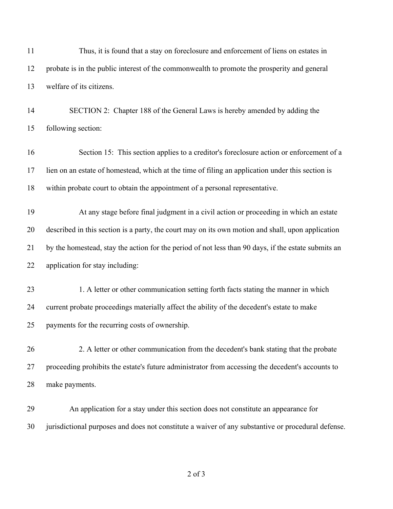| 11 | Thus, it is found that a stay on foreclosure and enforcement of liens on estates in                 |
|----|-----------------------------------------------------------------------------------------------------|
| 12 | probate is in the public interest of the commonwealth to promote the prosperity and general         |
| 13 | welfare of its citizens.                                                                            |
| 14 | SECTION 2: Chapter 188 of the General Laws is hereby amended by adding the                          |
| 15 | following section:                                                                                  |
| 16 | Section 15: This section applies to a creditor's foreclosure action or enforcement of a             |
| 17 | lien on an estate of homestead, which at the time of filing an application under this section is    |
| 18 | within probate court to obtain the appointment of a personal representative.                        |
| 19 | At any stage before final judgment in a civil action or proceeding in which an estate               |
| 20 | described in this section is a party, the court may on its own motion and shall, upon application   |
| 21 | by the homestead, stay the action for the period of not less than 90 days, if the estate submits an |
| 22 | application for stay including:                                                                     |
| 23 | 1. A letter or other communication setting forth facts stating the manner in which                  |
| 24 | current probate proceedings materially affect the ability of the decedent's estate to make          |
| 25 | payments for the recurring costs of ownership.                                                      |
| 26 | 2. A letter or other communication from the decedent's bank stating that the probate                |
| 27 | proceeding prohibits the estate's future administrator from accessing the decedent's accounts to    |
| 28 | make payments.                                                                                      |
| 29 | An application for a stay under this section does not constitute an appearance for                  |
| 30 | jurisdictional purposes and does not constitute a waiver of any substantive or procedural defense.  |
|    |                                                                                                     |

of 3